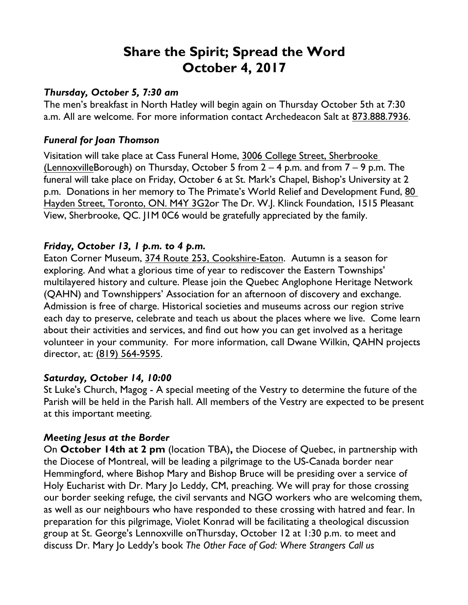# **Share the Spirit; Spread the Word October 4, 2017**

#### *Thursday, October 5, 7:30 am*

The men's breakfast in North Hatley will begin again on Thursday October 5th at 7:30 a.m. All are welcome. For more information contact Archedeacon Salt at 873.888.7936.

#### *Funeral for Joan Thomson*

Visitation will take place at Cass Funeral Home, 3006 College Street, Sherbrooke (LennoxvilleBorough) on Thursday, October 5 from  $2 - 4$  p.m. and from  $7 - 9$  p.m. The funeral will take place on Friday, October 6 at St. Mark's Chapel, Bishop's University at 2 p.m. Donations in her memory to The Primate's World Relief and Development Fund, 80 Hayden Street, Toronto, ON. M4Y 3G2or The Dr. W.J. Klinck Foundation, 1515 Pleasant View, Sherbrooke, QC. J1M 0C6 would be gratefully appreciated by the family.

## *Friday, October 13, 1 p.m. to 4 p.m.*

Eaton Corner Museum, 374 Route 253, Cookshire-Eaton. Autumn is a season for exploring. And what a glorious time of year to rediscover the Eastern Townships' multilayered history and culture. Please join the Quebec Anglophone Heritage Network (QAHN) and Townshippers' Association for an afternoon of discovery and exchange. Admission is free of charge. Historical societies and museums across our region strive each day to preserve, celebrate and teach us about the places where we live. Come learn about their activities and services, and find out how you can get involved as a heritage volunteer in your community. For more information, call Dwane Wilkin, QAHN projects director, at: (819) 564-9595.

## *Saturday, October 14, 10:00*

St Luke's Church, Magog - A special meeting of the Vestry to determine the future of the Parish will be held in the Parish hall. All members of the Vestry are expected to be present at this important meeting.

## *Meeting Jesus at the Border*

On **October 14th at 2 pm** (location TBA)**,** the Diocese of Quebec, in partnership with the Diocese of Montreal, will be leading a pilgrimage to the US-Canada border near Hemmingford, where Bishop Mary and Bishop Bruce will be presiding over a service of Holy Eucharist with Dr. Mary Jo Leddy, CM, preaching. We will pray for those crossing our border seeking refuge, the civil servants and NGO workers who are welcoming them, as well as our neighbours who have responded to these crossing with hatred and fear. In preparation for this pilgrimage, Violet Konrad will be facilitating a theological discussion group at St. George's Lennoxville onThursday, October 12 at 1:30 p.m. to meet and discuss Dr. Mary Jo Leddy's book *The Other Face of God: Where Strangers Call us*